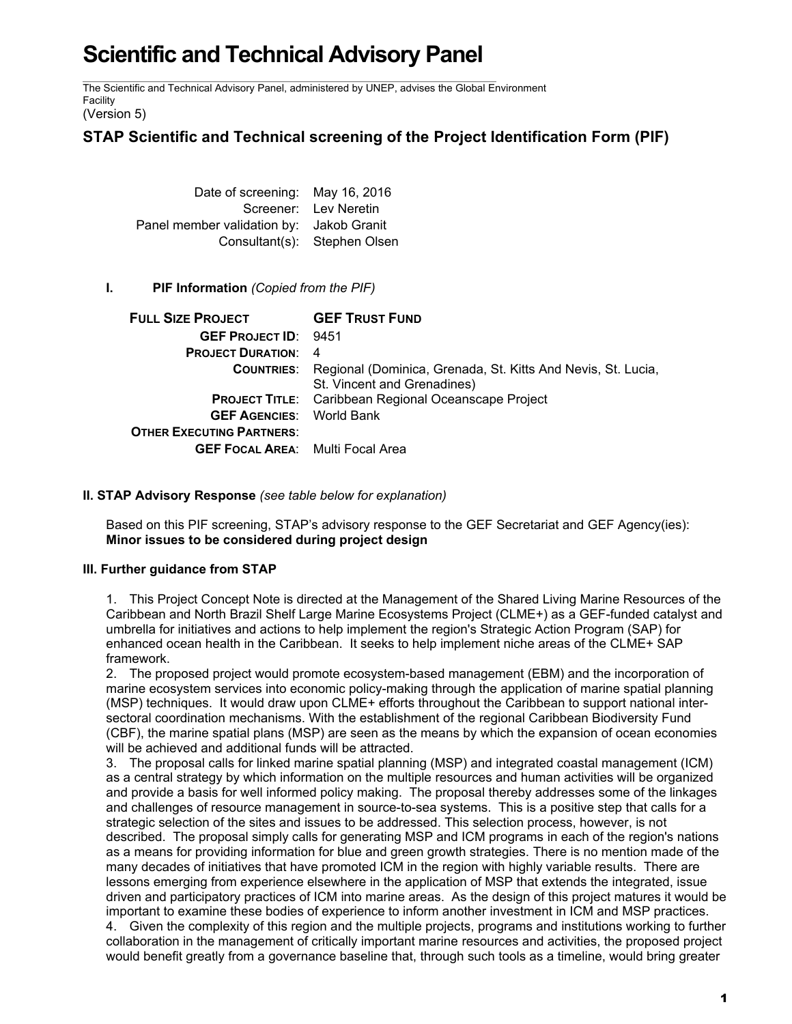# **Scientific and Technical Advisory Panel**

The Scientific and Technical Advisory Panel, administered by UNEP, advises the Global Environment Facility

(Version 5)

## **STAP Scientific and Technical screening of the Project Identification Form (PIF)**

Date of screening: May 16, 2016 Screener: Lev Neretin Panel member validation by: Jakob Granit Consultant(s): Stephen Olsen

### **I. PIF Information** *(Copied from the PIF)*

| <b>FULL SIZE PROJECT GEF TRUST FUND</b> |                                                                                                               |
|-----------------------------------------|---------------------------------------------------------------------------------------------------------------|
| <b>GEF PROJECT ID: 9451</b>             |                                                                                                               |
| <b>PROJECT DURATION: 4</b>              |                                                                                                               |
|                                         | <b>COUNTRIES:</b> Regional (Dominica, Grenada, St. Kitts And Nevis, St. Lucia,<br>St. Vincent and Grenadines) |
|                                         | <b>PROJECT TITLE:</b> Caribbean Regional Oceanscape Project                                                   |
| <b>GEF AGENCIES:</b> World Bank         |                                                                                                               |
| <b>OTHER EXECUTING PARTNERS:</b>        |                                                                                                               |
| <b>GEF FOCAL AREA:</b> Multi Focal Area |                                                                                                               |

### **II. STAP Advisory Response** *(see table below for explanation)*

Based on this PIF screening, STAP's advisory response to the GEF Secretariat and GEF Agency(ies): **Minor issues to be considered during project design**

### **III. Further guidance from STAP**

1. This Project Concept Note is directed at the Management of the Shared Living Marine Resources of the Caribbean and North Brazil Shelf Large Marine Ecosystems Project (CLME+) as a GEF-funded catalyst and umbrella for initiatives and actions to help implement the region's Strategic Action Program (SAP) for enhanced ocean health in the Caribbean. It seeks to help implement niche areas of the CLME+ SAP framework.

2. The proposed project would promote ecosystem-based management (EBM) and the incorporation of marine ecosystem services into economic policy-making through the application of marine spatial planning (MSP) techniques. It would draw upon CLME+ efforts throughout the Caribbean to support national intersectoral coordination mechanisms. With the establishment of the regional Caribbean Biodiversity Fund (CBF), the marine spatial plans (MSP) are seen as the means by which the expansion of ocean economies will be achieved and additional funds will be attracted.

3. The proposal calls for linked marine spatial planning (MSP) and integrated coastal management (ICM) as a central strategy by which information on the multiple resources and human activities will be organized and provide a basis for well informed policy making. The proposal thereby addresses some of the linkages and challenges of resource management in source-to-sea systems. This is a positive step that calls for a strategic selection of the sites and issues to be addressed. This selection process, however, is not described. The proposal simply calls for generating MSP and ICM programs in each of the region's nations as a means for providing information for blue and green growth strategies. There is no mention made of the many decades of initiatives that have promoted ICM in the region with highly variable results. There are lessons emerging from experience elsewhere in the application of MSP that extends the integrated, issue driven and participatory practices of ICM into marine areas. As the design of this project matures it would be important to examine these bodies of experience to inform another investment in ICM and MSP practices. 4. Given the complexity of this region and the multiple projects, programs and institutions working to further

collaboration in the management of critically important marine resources and activities, the proposed project would benefit greatly from a governance baseline that, through such tools as a timeline, would bring greater